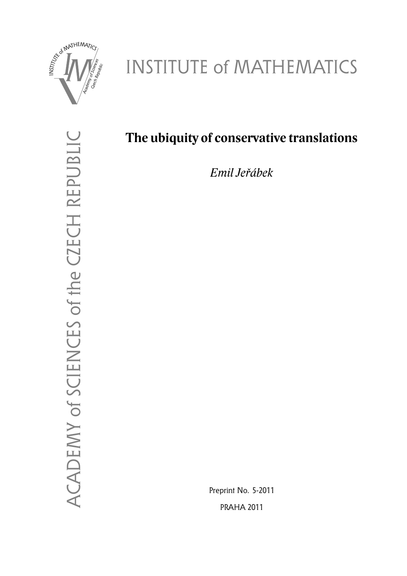

# INSTITUTE of MATHEMATICS

ACADEMY of SCIENCES of the CZECH REPUBLIC ACADEMY of SCIENCES of the CZECH REPUBLIC

# **The ubiquity of conservative translations**

*Emil Jeřábek*

Preprint No. 5-2011 PRAHA 2011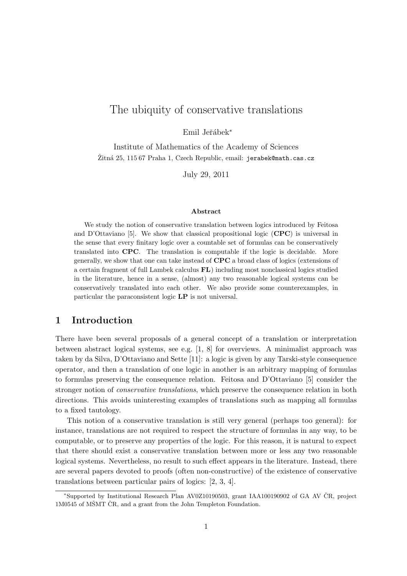# The ubiquity of conservative translations

Emil Jeřábek<sup>\*</sup>

Institute of Mathematics of the Academy of Sciences Žitná 25, 115 67 Praha 1, Czech Republic, email: jerabek@math.cas.cz

July 29, 2011

#### Abstract

We study the notion of conservative translation between logics introduced by Feitosa and D'Ottaviano [5]. We show that classical propositional logic  $(CPC)$  is universal in the sense that every finitary logic over a countable set of formulas can be conservatively translated into CPC. The translation is computable if the logic is decidable. More generally, we show that one can take instead of CPC a broad class of logics (extensions of a certain fragment of full Lambek calculus FL) including most nonclassical logics studied in the literature, hence in a sense, (almost) any two reasonable logical systems can be conservatively translated into each other. We also provide some counterexamples, in particular the paraconsistent logic LP is not universal.

#### 1 Introduction

There have been several proposals of a general concept of a translation or interpretation between abstract logical systems, see e.g. [1, 8] for overviews. A minimalist approach was taken by da Silva, D'Ottaviano and Sette [11]: a logic is given by any Tarski-style consequence operator, and then a translation of one logic in another is an arbitrary mapping of formulas to formulas preserving the consequence relation. Feitosa and D'Ottaviano [5] consider the stronger notion of *conservative translations*, which preserve the consequence relation in both directions. This avoids uninteresting examples of translations such as mapping all formulas to a fixed tautology.

This notion of a conservative translation is still very general (perhaps too general): for instance, translations are not required to respect the structure of formulas in any way, to be computable, or to preserve any properties of the logic. For this reason, it is natural to expect that there should exist a conservative translation between more or less any two reasonable logical systems. Nevertheless, no result to such effect appears in the literature. Instead, there are several papers devoted to proofs (often non-constructive) of the existence of conservative translations between particular pairs of logics: [2, 3, 4].

<sup>∗</sup>Supported by Institutional Research Plan AV0Z10190503, grant IAA100190902 of GA AV CR, project ˇ  $1M0545$  of MSMT  $\text{CR}$ , and a grant from the John Templeton Foundation.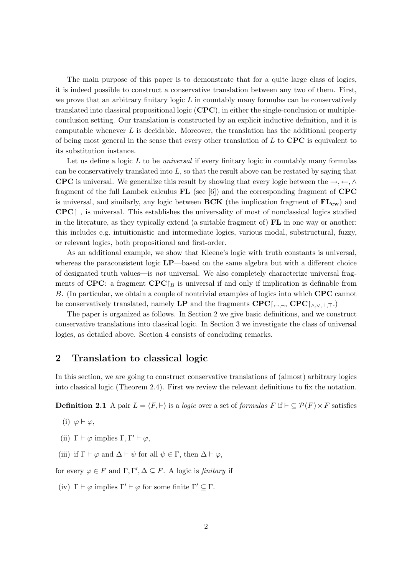The main purpose of this paper is to demonstrate that for a quite large class of logics, it is indeed possible to construct a conservative translation between any two of them. First, we prove that an arbitrary finitary logic  $L$  in countably many formulas can be conservatively translated into classical propositional logic (CPC), in either the single-conclusion or multipleconclusion setting. Our translation is constructed by an explicit inductive definition, and it is computable whenever  $L$  is decidable. Moreover, the translation has the additional property of being most general in the sense that every other translation of  $L$  to  $\mathbf{CPC}$  is equivalent to its substitution instance.

Let us define a logic  $L$  to be *universal* if every finitary logic in countably many formulas can be conservatively translated into  $L$ , so that the result above can be restated by saying that CPC is universal. We generalize this result by showing that every logic between the  $\rightarrow, \leftarrow, \wedge$ fragment of the full Lambek calculus  $FL$  (see [6]) and the corresponding fragment of  $CPC$ is universal, and similarly, any logic between  $BCK$  (the implication fragment of  $FL_{ew}$ ) and  $\text{CPC}\vert_{\text{on}}$  is universal. This establishes the universality of most of nonclassical logics studied in the literature, as they typically extend (a suitable fragment of)  $\mathbf{FL}$  in one way or another: this includes e.g. intuitionistic and intermediate logics, various modal, substructural, fuzzy, or relevant logics, both propositional and first-order.

As an additional example, we show that Kleene's logic with truth constants is universal, whereas the paraconsistent logic  $\text{LP}-$ based on the same algebra but with a different choice of designated truth values—is not universal. We also completely characterize universal fragments of CPC: a fragment CPC $\upharpoonright_B$  is universal if and only if implication is definable from B. (In particular, we obtain a couple of nontrivial examples of logics into which CPC cannot be conservatively translated, namely LP and the fragments  $\text{CPC}$ [ $\leftrightarrow$ ,¬,  $\text{CPC}$ [ $\land$ , $\lor$ , $\bot$ , $\top$ .)

The paper is organized as follows. In Section 2 we give basic definitions, and we construct conservative translations into classical logic. In Section 3 we investigate the class of universal logics, as detailed above. Section 4 consists of concluding remarks.

### 2 Translation to classical logic

In this section, we are going to construct conservative translations of (almost) arbitrary logics into classical logic (Theorem 2.4). First we review the relevant definitions to fix the notation.

**Definition 2.1** A pair  $L = \langle F, \vdash \rangle$  is a logic over a set of formulas F if  $\vdash \subseteq \mathcal{P}(F) \times F$  satisfies

- (i)  $\varphi \vdash \varphi$ ,
- (ii)  $\Gamma \vdash \varphi$  implies  $\Gamma, \Gamma' \vdash \varphi$ ,
- (iii) if  $\Gamma \vdash \varphi$  and  $\Delta \vdash \psi$  for all  $\psi \in \Gamma$ , then  $\Delta \vdash \varphi$ ,

for every  $\varphi \in F$  and  $\Gamma, \Gamma', \Delta \subseteq F$ . A logic is *finitary* if

(iv)  $\Gamma \vdash \varphi$  implies  $\Gamma' \vdash \varphi$  for some finite  $\Gamma' \subseteq \Gamma$ .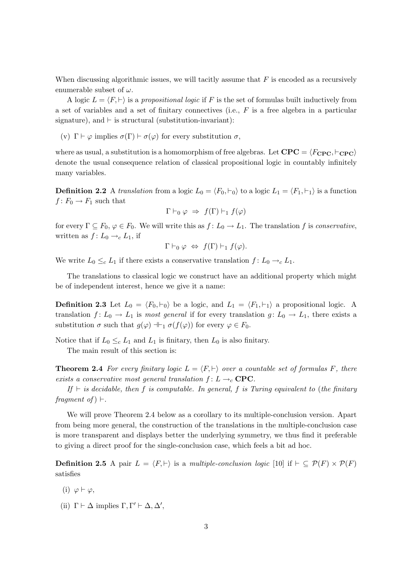When discussing algorithmic issues, we will tacitly assume that  $F$  is encoded as a recursively enumerable subset of  $\omega$ .

A logic  $L = \langle F, \vdash \rangle$  is a propositional logic if F is the set of formulas built inductively from a set of variables and a set of finitary connectives (i.e., F is a free algebra in a particular signature), and  $\vdash$  is structural (substitution-invariant):

(v)  $\Gamma \vdash \varphi$  implies  $\sigma(\Gamma) \vdash \sigma(\varphi)$  for every substitution  $\sigma$ ,

where as usual, a substitution is a homomorphism of free algebras. Let  $\text{CPC} = \langle F_{\text{CPC}}, \vdash_{\text{CPC}} \rangle$ denote the usual consequence relation of classical propositional logic in countably infinitely many variables.

**Definition 2.2** A translation from a logic  $L_0 = \langle F_0, \vdash_0 \rangle$  to a logic  $L_1 = \langle F_1, \vdash_1 \rangle$  is a function  $f: F_0 \to F_1$  such that

$$
\Gamma \vdash_0 \varphi \;\Rightarrow\; f(\Gamma) \vdash_1 f(\varphi)
$$

for every  $\Gamma \subseteq F_0$ ,  $\varphi \in F_0$ . We will write this as  $f: L_0 \to L_1$ . The translation f is conservative, written as  $f: L_0 \to_c L_1$ , if

$$
\Gamma \vdash_0 \varphi \; \Leftrightarrow \; f(\Gamma) \vdash_1 f(\varphi).
$$

We write  $L_0 \leq_c L_1$  if there exists a conservative translation  $f: L_0 \to_c L_1$ .

The translations to classical logic we construct have an additional property which might be of independent interest, hence we give it a name:

**Definition 2.3** Let  $L_0 = \langle F_0, \vdash_0 \rangle$  be a logic, and  $L_1 = \langle F_1, \vdash_1 \rangle$  a propositional logic. A translation  $f: L_0 \to L_1$  is most general if for every translation  $g: L_0 \to L_1$ , there exists a substitution  $\sigma$  such that  $g(\varphi) \dashv \vdash_1 \sigma(f(\varphi))$  for every  $\varphi \in F_0$ .

Notice that if  $L_0 \leq_c L_1$  and  $L_1$  is finitary, then  $L_0$  is also finitary.

The main result of this section is:

**Theorem 2.4** For every finitary logic  $L = \langle F, \vdash \rangle$  over a countable set of formulas F, there exists a conservative most general translation  $f: L \rightarrow_c \text{CPC}.$ 

If  $\vdash$  is decidable, then f is computable. In general, f is Turing equivalent to (the finitary fragment of  $) \vdash$ .

We will prove Theorem 2.4 below as a corollary to its multiple-conclusion version. Apart from being more general, the construction of the translations in the multiple-conclusion case is more transparent and displays better the underlying symmetry, we thus find it preferable to giving a direct proof for the single-conclusion case, which feels a bit ad hoc.

**Definition 2.5** A pair  $L = \langle F, \vdash \rangle$  is a multiple-conclusion logic [10] if  $\vdash \subseteq \mathcal{P}(F) \times \mathcal{P}(F)$ satisfies

- (i)  $\varphi \vdash \varphi$ ,
- (ii)  $\Gamma \vdash \Delta$  implies  $\Gamma, \Gamma' \vdash \Delta, \Delta',$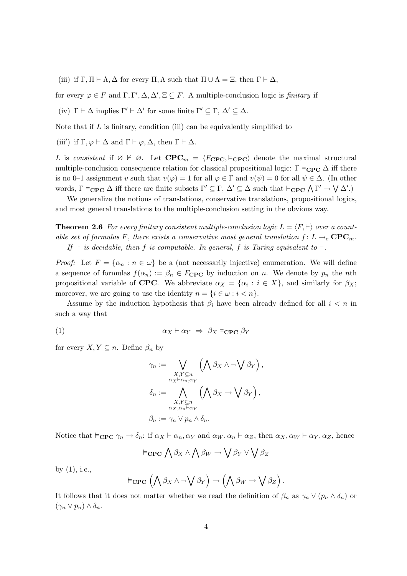(iii) if  $\Gamma, \Pi \vdash \Lambda, \Delta$  for every  $\Pi, \Lambda$  such that  $\Pi \cup \Lambda = \Xi$ , then  $\Gamma \vdash \Delta$ ,

for every  $\varphi \in F$  and  $\Gamma, \Gamma', \Delta, \Delta', \Xi \subseteq F$ . A multiple-conclusion logic is *finitary* if

(iv)  $\Gamma \vdash \Delta$  implies  $\Gamma' \vdash \Delta'$  for some finite  $\Gamma' \subseteq \Gamma$ ,  $\Delta' \subseteq \Delta$ .

Note that if  $L$  is finitary, condition (iii) can be equivalently simplified to

(iii') if  $\Gamma, \varphi \vdash \Delta$  and  $\Gamma \vdash \varphi, \Delta$ , then  $\Gamma \vdash \Delta$ .

L is consistent if  $\emptyset \not\vdash \emptyset$ . Let  $\mathbf{CPC}_m = \langle F_{\mathbf{CPC}}, \vDash_{\mathbf{CPC}} \rangle$  denote the maximal structural multiple-conclusion consequence relation for classical propositional logic:  $\Gamma \models_{\bf CP} \Delta$  iff there is no 0–1 assignment v such that  $v(\varphi) = 1$  for all  $\varphi \in \Gamma$  and  $v(\psi) = 0$  for all  $\psi \in \Delta$ . (In other words,  $\Gamma \vDash_{\mathbf{CPC}} \Delta$  iff there are finite subsets  $\Gamma' \subseteq \Gamma$ ,  $\Delta' \subseteq \Delta$  such that  $\vdash_{\mathbf{CPC}} \Lambda \Gamma' \to \mathsf{V}\Delta'.$ 

We generalize the notions of translations, conservative translations, propositional logics, and most general translations to the multiple-conclusion setting in the obvious way.

**Theorem 2.6** For every finitary consistent multiple-conclusion logic  $L = \langle F, \vdash \rangle$  over a countable set of formulas F, there exists a conservative most general translation  $f: L \rightarrow_c \mathbf{CPC}_m$ . If  $\vdash$  is decidable, then f is computable. In general, f is Turing equivalent to  $\vdash$ .

*Proof:* Let  $F = {\alpha_n : n \in \omega}$  be a (not necessarily injective) enumeration. We will define a sequence of formulas  $f(\alpha_n) := \beta_n \in F_{\text{CPC}}$  by induction on n. We denote by  $p_n$  the nth propositional variable of **CPC**. We abbreviate  $\alpha_X = \{\alpha_i : i \in X\}$ , and similarly for  $\beta_X$ ; moreover, we are going to use the identity  $n = \{i \in \omega : i < n\}.$ 

Assume by the induction hypothesis that  $\beta_i$  have been already defined for all  $i < n$  in such a way that

$$
\alpha_X \vdash \alpha_Y \;\Rightarrow\; \beta_X \vDash_{\mathbf{CPC}} \beta_Y
$$

for every  $X, Y \subseteq n$ . Define  $\beta_n$  by

$$
\gamma_n := \bigvee_{\substack{X,Y \subseteq n \\ \alpha_X \vdash \alpha_n, \alpha_Y}} \left( \bigwedge \beta_X \wedge \neg \bigvee \beta_Y \right),
$$

$$
\delta_n := \bigwedge_{\substack{X,Y \subseteq n \\ \alpha_X, \alpha_n \vdash \alpha_Y}} \left( \bigwedge \beta_X \rightarrow \bigvee \beta_Y \right),
$$

$$
\beta_n := \gamma_n \vee p_n \wedge \delta_n.
$$

Notice that  $\models_{\mathbf{CPC}} \gamma_n \to \delta_n$ : if  $\alpha_X \vdash \alpha_n, \alpha_Y$  and  $\alpha_W, \alpha_n \vdash \alpha_Z$ , then  $\alpha_X, \alpha_W \vdash \alpha_Y, \alpha_Z$ , hence

$$
\vDash_{\mathbf{CPC}} \bigwedge \beta_X \land \bigwedge \beta_W \rightarrow \bigvee \beta_Y \lor \bigvee \beta_Z
$$

by (1), i.e.,

$$
\vDash_{\mathbf{CPC}} (\bigwedge \beta_X \wedge \neg \bigvee \beta_Y) \rightarrow (\bigwedge \beta_W \rightarrow \bigvee \beta_Z)
$$

.

It follows that it does not matter whether we read the definition of  $\beta_n$  as  $\gamma_n \vee (p_n \wedge \delta_n)$  or  $(\gamma_n \vee p_n) \wedge \delta_n$ .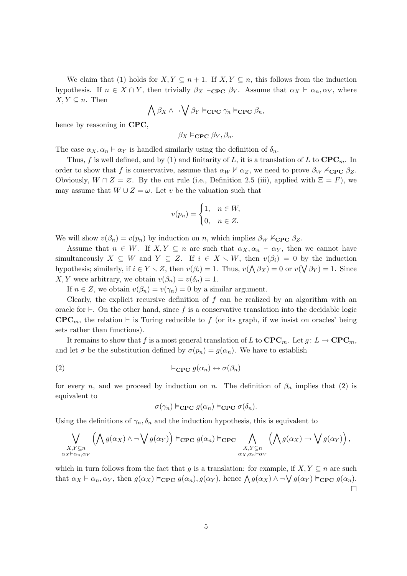We claim that (1) holds for  $X, Y \subseteq n + 1$ . If  $X, Y \subseteq n$ , this follows from the induction hypothesis. If  $n \in X \cap Y$ , then trivially  $\beta_X \models_{\mathbf{CPC}} \beta_Y$ . Assume that  $\alpha_X \vdash \alpha_n, \alpha_Y$ , where  $X, Y \subseteq n$ . Then

$$
\bigwedge \beta_X \wedge \neg \bigvee \beta_Y \models_{\textbf{CPC}} \gamma_n \models_{\textbf{CPC}} \beta_n,
$$

hence by reasoning in CPC,

$$
\beta_X \vDash_{\bf{CPC}} \beta_Y, \beta_n.
$$

The case  $\alpha_X, \alpha_n \vdash \alpha_Y$  is handled similarly using the definition of  $\delta_n$ .

Thus, f is well defined, and by (1) and finitarity of L, it is a translation of L to  $\mathbf{CPC}_m$ . In order to show that f is conservative, assume that  $\alpha_W \nvdash \alpha_Z$ , we need to prove  $\beta_W \nvdash_{\text{CPC}} \beta_Z$ . Obviously,  $W \cap Z = \emptyset$ . By the cut rule (i.e., Definition 2.5 (iii), applied with  $\Xi = F$ ), we may assume that  $W \cup Z = \omega$ . Let v be the valuation such that

$$
v(p_n) = \begin{cases} 1, & n \in W, \\ 0, & n \in Z. \end{cases}
$$

We will show  $v(\beta_n) = v(p_n)$  by induction on n, which implies  $\beta_W \nvDash_{\text{CPC}} \beta_Z$ .

Assume that  $n \in W$ . If  $X, Y \subseteq n$  are such that  $\alpha_X, \alpha_n \vdash \alpha_Y$ , then we cannot have simultaneously  $X \subseteq W$  and  $Y \subseteq Z$ . If  $i \in X \setminus W$ , then  $v(\beta_i) = 0$  by the induction hypothesis; similarly, if  $i \in Y \setminus Z$ , then  $v(\beta_i) = 1$ . Thus,  $v(\bigwedge \beta_X) = 0$  or  $v(\bigvee \beta_Y) = 1$ . Since X, Y were arbitrary, we obtain  $v(\beta_n) = v(\delta_n) = 1$ .

If  $n \in \mathbb{Z}$ , we obtain  $v(\beta_n) = v(\gamma_n) = 0$  by a similar argument.

Clearly, the explicit recursive definition of  $f$  can be realized by an algorithm with an oracle for  $\vdash$ . On the other hand, since f is a conservative translation into the decidable logic  $\mathbf{CPC}_m$ , the relation  $\vdash$  is Turing reducible to f (or its graph, if we insist on oracles' being sets rather than functions).

It remains to show that f is a most general translation of L to  $\mathbf{CPC}_m$ . Let  $g: L \to \mathbf{CPC}_m$ , and let  $\sigma$  be the substitution defined by  $\sigma(p_n) = g(\alpha_n)$ . We have to establish

(2) 
$$
\models_{\mathbf{CPC}} g(\alpha_n) \leftrightarrow \sigma(\beta_n)
$$

for every n, and we proceed by induction on n. The definition of  $\beta_n$  implies that (2) is equivalent to

$$
\sigma(\gamma_n) \vDash_{\mathbf{CPC}} g(\alpha_n) \vDash_{\mathbf{CPC}} \sigma(\delta_n).
$$

Using the definitions of  $\gamma_n, \delta_n$  and the induction hypothesis, this is equivalent to

$$
\bigvee_{\substack{X,Y\subseteq n\\ \alpha_X\vdash\alpha_n,\alpha_Y}}\left(\bigwedge g(\alpha_X)\wedge\neg\bigvee g(\alpha_Y)\right)\vDash_{\mathbf{CPC}} g(\alpha_n)\vDash_{\mathbf{CPC}}\bigwedge_{\substack{X,Y\subseteq n\\ \alpha_X,\alpha_n\vdash\alpha_Y}}\left(\bigwedge g(\alpha_X)\rightarrow\bigvee g(\alpha_Y)\right),
$$

which in turn follows from the fact that g is a translation: for example, if  $X, Y \subseteq n$  are such that  $\alpha_X \vdash \alpha_n, \alpha_Y$ , then  $g(\alpha_X) \vDash_{\mathbf{CPC}} g(\alpha_n), g(\alpha_Y)$ , hence  $\bigwedge g(\alpha_X) \wedge \neg \bigvee g(\alpha_Y) \vDash_{\mathbf{CPC}} g(\alpha_n)$ .  $\Box$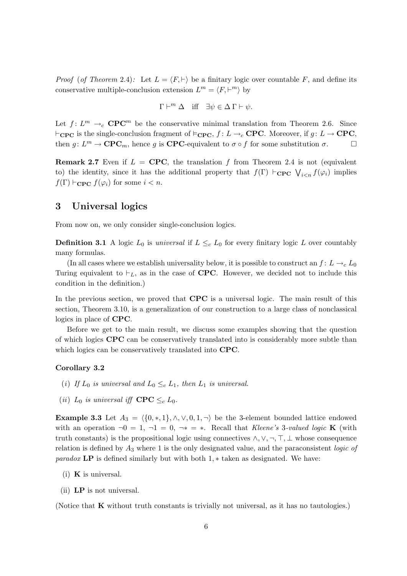*Proof (of Theorem 2.4):* Let  $L = \langle F, \vdash \rangle$  be a finitary logic over countable F, and define its conservative multiple-conclusion extension  $L^m = \langle F, \vdash^m \rangle$  by

$$
\Gamma \vdash^m \Delta \quad \text{iff} \quad \exists \psi \in \Delta \Gamma \vdash \psi.
$$

Let  $f: L^m \to_c \mathbf{CPC}^m$  be the conservative minimal translation from Theorem 2.6. Since  $\vdash_{\text{CPC}}$  is the single-conclusion fragment of  $\vDash_{\text{CPC}}$ ,  $f : L \to_c \text{CPC}$ . Moreover, if  $g : L \to \text{CPC}$ , then  $g: L^m \to \mathbf{CPC}_m$ , hence g is  $\mathbf{CPC}$ -equivalent to  $\sigma \circ f$  for some substitution  $\sigma$ .

**Remark 2.7** Even if  $L =$  CPC, the translation f from Theorem 2.4 is not (equivalent to) the identity, since it has the additional property that  $f(\Gamma) \vdash_{\mathbf{CPC}} \bigvee_{i \leq n} f(\varphi_i)$  implies  $f(\Gamma) \vdash_{\textbf{CPC}} f(\varphi_i)$  for some  $i < n$ .

#### 3 Universal logics

From now on, we only consider single-conclusion logics.

**Definition 3.1** A logic  $L_0$  is universal if  $L \leq_c L_0$  for every finitary logic L over countably many formulas.

(In all cases where we establish universality below, it is possible to construct an  $f: L \rightarrow_c L_0$ Turing equivalent to  $\vdash_L$ , as in the case of **CPC**. However, we decided not to include this condition in the definition.)

In the previous section, we proved that **CPC** is a universal logic. The main result of this section, Theorem 3.10, is a generalization of our construction to a large class of nonclassical logics in place of CPC.

Before we get to the main result, we discuss some examples showing that the question of which logics CPC can be conservatively translated into is considerably more subtle than which logics can be conservatively translated into CPC.

#### Corollary 3.2

- (i) If  $L_0$  is universal and  $L_0 \leq_c L_1$ , then  $L_1$  is universal.
- (ii)  $L_0$  is universal iff  $\mathbf{CPC} \leq_c L_0$ .

**Example 3.3** Let  $A_3 = \langle \{0, *, 1\}, \wedge, \vee, 0, 1, \neg \rangle$  be the 3-element bounded lattice endowed with an operation  $\neg 0 = 1, \neg 1 = 0, \neg * = *$ . Recall that Kleene's 3-valued logic **K** (with truth constants) is the propositional logic using connectives  $\wedge, \vee, \neg, \top, \bot$  whose consequence relation is defined by  $A_3$  where 1 is the only designated value, and the paraconsistent *logic of paradox* LP is defined similarly but with both  $1,*$  taken as designated. We have:

- (i)  $\bf{K}$  is universal.
- (ii) LP is not universal.

(Notice that K without truth constants is trivially not universal, as it has no tautologies.)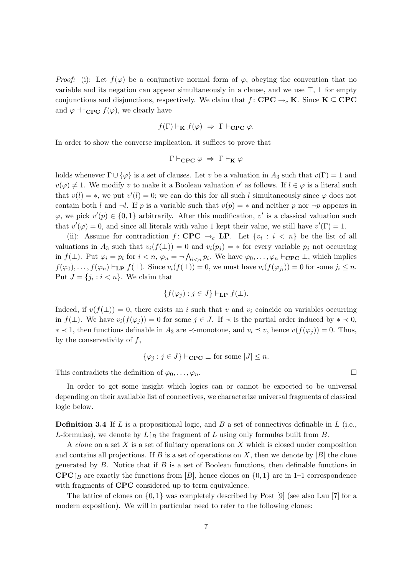*Proof:* (i): Let  $f(\varphi)$  be a conjunctive normal form of  $\varphi$ , obeying the convention that no variable and its negation can appear simultaneously in a clause, and we use  $\top, \bot$  for empty conjunctions and disjunctions, respectively. We claim that  $f:$  CPC  $\rightarrow_c K$ . Since  $K \subseteq$  CPC and  $\varphi \vdash_{\mathbf{CPC}} f(\varphi)$ , we clearly have

$$
f(\Gamma) \vdash_{\mathbf{K}} f(\varphi) \Rightarrow \Gamma \vdash_{\mathbf{CPC}} \varphi.
$$

In order to show the converse implication, it suffices to prove that

$$
\Gamma \vdash_{\textbf{CPC}} \varphi \;\Rightarrow\; \Gamma \vdash_{\textbf{K}} \varphi
$$

holds whenever  $\Gamma \cup {\varphi}$  is a set of clauses. Let v be a valuation in A<sub>3</sub> such that  $v(\Gamma) = 1$  and  $v(\varphi) \neq 1$ . We modify v to make it a Boolean valuation v' as follows. If  $l \in \varphi$  is a literal such that  $v(l) = *$ , we put  $v'(l) = 0$ ; we can do this for all such l simultaneously since  $\varphi$  does not contain both l and  $\neg l$ . If p is a variable such that  $v(p) = *$  and neither p nor  $\neg p$  appears in  $\varphi$ , we pick  $v'(p) \in \{0,1\}$  arbitrarily. After this modification, v' is a classical valuation such that  $v'(\varphi) = 0$ , and since all literals with value 1 kept their value, we still have  $v'(\Gamma) = 1$ .

(ii): Assume for contradiction  $f:$  CPC  $\rightarrow_c$  LP. Let  $\{v_i : i \leq n\}$  be the list of all valuations in  $A_3$  such that  $v_i(f(\perp)) = 0$  and  $v_i(p_i) = *$  for every variable  $p_i$  not occurring in  $f(\perp)$ . Put  $\varphi_i = p_i$  for  $i < n$ ,  $\varphi_n = \neg \bigwedge_{i < n} p_i$ . We have  $\varphi_0, \ldots, \varphi_n \vdash_{\mathbf{CPC}} \perp$ , which implies  $f(\varphi_0), \ldots, f(\varphi_n) \vdash_{\textbf{LP}} f(\bot)$ . Since  $v_i(f(\bot)) = 0$ , we must have  $v_i(f(\varphi_{j_i})) = 0$  for some  $j_i \leq n$ . Put  $J = \{j_i : i < n\}$ . We claim that

$$
\{f(\varphi_j) : j \in J\} \vdash_{\mathbf{LP}} f(\bot).
$$

Indeed, if  $v(f(\perp)) = 0$ , there exists an i such that v and  $v_i$  coincide on variables occurring in  $f(\perp)$ . We have  $v_i(f(\varphi_i)) = 0$  for some  $j \in J$ . If  $\prec$  is the partial order induced by  $* \prec 0$ , ∗  $\prec$  1, then functions definable in  $A_3$  are  $\prec$ -monotone, and  $v_i \leq v$ , hence  $v(f(\varphi_i)) = 0$ . Thus, by the conservativity of  $f$ ,

$$
\{\varphi_j : j \in J\} \vdash_{\mathbf{CPC}} \bot \text{ for some } |J| \leq n.
$$

This contradicts the definition of  $\varphi_0, \ldots, \varphi_n$ .

In order to get some insight which logics can or cannot be expected to be universal depending on their available list of connectives, we characterize universal fragments of classical logic below.

**Definition 3.4** If L is a propositional logic, and B a set of connectives definable in  $L$  (i.e., L-formulas), we denote by  $L\upharpoonright_B$  the fragment of L using only formulas built from B.

A *clone* on a set X is a set of finitary operations on X which is closed under composition and contains all projections. If B is a set of operations on X, then we denote by  $[B]$  the clone generated by  $B$ . Notice that if  $B$  is a set of Boolean functions, then definable functions in  $\mathbf{CPC}|_B$  are exactly the functions from [B], hence clones on  $\{0,1\}$  are in 1–1 correspondence with fragments of **CPC** considered up to term equivalence.

The lattice of clones on  $\{0, 1\}$  was completely described by Post [9] (see also Lau [7] for a modern exposition). We will in particular need to refer to the following clones: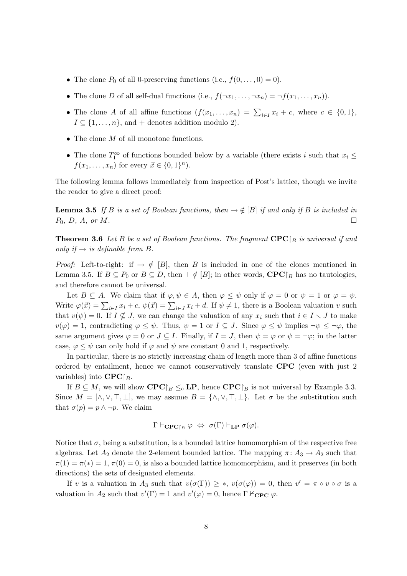- The clone  $P_0$  of all 0-preserving functions (i.e.,  $f(0,\ldots,0)=0$ ).
- The clone D of all self-dual functions (i.e.,  $f(\neg x_1, \ldots, \neg x_n) = \neg f(x_1, \ldots, x_n)$ ).
- The clone A of all affine functions  $(f(x_1, \ldots, x_n) = \sum_{i \in I} x_i + c$ , where  $c \in \{0, 1\}$ ,  $I \subseteq \{1, \ldots, n\}$ , and + denotes addition modulo 2).
- The clone  $M$  of all monotone functions.
- The clone  $T_1^{\infty}$  of functions bounded below by a variable (there exists i such that  $x_i \leq$  $f(x_1,...,x_n)$  for every  $\vec{x} \in \{0,1\}^n$ ).

The following lemma follows immediately from inspection of Post's lattice, though we invite the reader to give a direct proof:

**Lemma 3.5** If B is a set of Boolean functions, then  $\rightarrow \notin [B]$  if and only if B is included in  $P_0, D, A, \text{ or } M.$ 

**Theorem 3.6** Let B be a set of Boolean functions. The fragment  $\mathbf{CPC}|_B$  is universal if and only if  $\rightarrow$  is definable from B.

*Proof:* Left-to-right: if  $\rightarrow \notin [B]$ , then B is included in one of the clones mentioned in Lemma 3.5. If  $B \subseteq P_0$  or  $B \subseteq D$ , then  $\top \notin [B]$ ; in other words,  $\mathbf{CPC}|_B$  has no tautologies, and therefore cannot be universal.

Let  $B \subseteq A$ . We claim that if  $\varphi, \psi \in A$ , then  $\varphi \leq \psi$  only if  $\varphi = 0$  or  $\psi = 1$  or  $\varphi = \psi$ . Write  $\varphi(\vec{x}) = \sum_{i \in I} x_i + c$ ,  $\psi(\vec{x}) = \sum_{i \in J} x_i + d$ . If  $\psi \neq 1$ , there is a Boolean valuation v such that  $v(\psi) = 0$ . If  $I \nsubseteq J$ , we can change the valuation of any  $x_i$  such that  $i \in I \setminus J$  to make  $v(\varphi) = 1$ , contradicting  $\varphi \leq \psi$ . Thus,  $\psi = 1$  or  $I \subseteq J$ . Since  $\varphi \leq \psi$  implies  $\neg \psi \leq \neg \varphi$ , the same argument gives  $\varphi = 0$  or  $J \subseteq I$ . Finally, if  $I = J$ , then  $\psi = \varphi$  or  $\psi = \neg \varphi$ ; in the latter case,  $\varphi \leq \psi$  can only hold if  $\varphi$  and  $\psi$  are constant 0 and 1, respectively.

In particular, there is no strictly increasing chain of length more than 3 of affine functions ordered by entailment, hence we cannot conservatively translate CPC (even with just 2 variables) into  $\mathbf{CPC}\upharpoonright_B$ .

If  $B \subseteq M$ , we will show  $\mathbf{CPC}\upharpoonright_B \leq_c \mathbf{LP}$ , hence  $\mathbf{CPC}\upharpoonright_B$  is not universal by Example 3.3. Since  $M = [\wedge, \vee, \top, \bot]$ , we may assume  $B = {\wedge, \vee, \top, \bot}$ . Let  $\sigma$  be the substitution such that  $\sigma(p) = p \land \neg p$ . We claim

$$
\Gamma \vdash_{\mathbf{CPC}\upharpoonright_B} \varphi \; \Leftrightarrow \; \sigma(\Gamma) \vdash_{\mathbf{LP}} \sigma(\varphi).
$$

Notice that  $\sigma$ , being a substitution, is a bounded lattice homomorphism of the respective free algebras. Let  $A_2$  denote the 2-element bounded lattice. The mapping  $\pi: A_3 \to A_2$  such that  $\pi(1) = \pi(*) = 1, \pi(0) = 0$ , is also a bounded lattice homomorphism, and it preserves (in both directions) the sets of designated elements.

If v is a valuation in  $A_3$  such that  $v(\sigma(\Gamma)) \geq *, v(\sigma(\varphi)) = 0$ , then  $v' = \pi \circ v \circ \sigma$  is a valuation in  $A_2$  such that  $v'(\Gamma) = 1$  and  $v'(\varphi) = 0$ , hence  $\Gamma \nvdash_{\mathbf{CPC}} \varphi$ .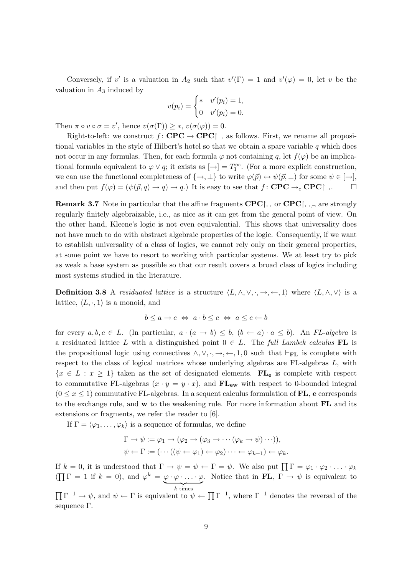Conversely, if v' is a valuation in  $A_2$  such that  $v'(\Gamma) = 1$  and  $v'(\varphi) = 0$ , let v be the valuation in  $A_3$  induced by

$$
v(p_i) = \begin{cases} * & v'(p_i) = 1, \\ 0 & v'(p_i) = 0. \end{cases}
$$

Then  $\pi \circ v \circ \sigma = v'$ , hence  $v(\sigma(\Gamma)) \geq *, v(\sigma(\varphi)) = 0$ .

Right-to-left: we construct  $f:$  CPC  $\rightarrow$  CPC $\uparrow$ , as follows. First, we rename all propositional variables in the style of Hilbert's hotel so that we obtain a spare variable  $q$  which does not occur in any formulas. Then, for each formula  $\varphi$  not containing q, let  $f(\varphi)$  be an implicational formula equivalent to  $\varphi \vee q$ ; it exists as  $[\rightarrow]$  =  $T_1^{\infty}$ . (For a more explicit construction, we can use the functional completeness of  $\{\rightarrow, \perp\}$  to write  $\varphi(\vec{p}) \leftrightarrow \psi(\vec{p}, \perp)$  for some  $\psi \in [\rightarrow],$ and then put  $f(\varphi) = (\psi(\vec{p}, q) \to q) \to q$ .) It is easy to see that  $f : \mathbf{CPC} \to_c \mathbf{CPC} \uparrow \to \square$ 

**Remark 3.7** Note in particular that the affine fragments  $\mathbf{CPC}\uparrow\leftrightarrow\mathbf{CPC}\uparrow\leftrightarrow\mathbf{CPC}\uparrow\leftrightarrow\mathbf{CPC}\uparrow\leftrightarrow\mathbf{CPC}\uparrow\leftrightarrow\mathbf{CPC}\uparrow\leftrightarrow\mathbf{CPC}\uparrow\leftrightarrow\mathbf{CPC}\uparrow\leftrightarrow\mathbf{CPC}\uparrow\leftrightarrow\mathbf{CPC}\uparrow\leftrightarrow\mathbf{CPC}\uparrow\leftrightarrow\mathbf{CPC}\uparrow\leftrightarrow\mathbf{CPC}\uparrow\leftrightarrow\mathbf{CPC}\uparrow\leftrightarrow\mathbf{CPC}\up$ regularly finitely algebraizable, i.e., as nice as it can get from the general point of view. On the other hand, Kleene's logic is not even equivalential. This shows that universality does not have much to do with abstract algebraic properties of the logic. Consequently, if we want to establish universality of a class of logics, we cannot rely only on their general properties, at some point we have to resort to working with particular systems. We at least try to pick as weak a base system as possible so that our result covers a broad class of logics including most systems studied in the literature.

**Definition 3.8** A *residuated lattice* is a structure  $\langle L, \wedge, \vee, \cdot, \to, \leftarrow, 1 \rangle$  where  $\langle L, \wedge, \vee \rangle$  is a lattice,  $\langle L, \cdot, 1 \rangle$  is a monoid, and

$$
b \le a \to c \iff a \cdot b \le c \iff a \le c \leftarrow b
$$

for every  $a, b, c \in L$ . (In particular,  $a \cdot (a \to b) \leq b$ ,  $(b \leftarrow a) \cdot a \leq b$ ). An FL-algebra is a residuated lattice L with a distinguished point  $0 \in L$ . The full Lambek calculus FL is the propositional logic using connectives  $\land, \lor, \cdot, \rightarrow, \leftarrow, 1, 0$  such that  $\vdash_{\mathbf{FL}}$  is complete with respect to the class of logical matrices whose underlying algebras are FL-algebras L, with  ${x \in L : x \geq 1}$  taken as the set of designated elements.  $\mathbf{FL}_{e}$  is complete with respect to commutative FL-algebras  $(x \cdot y = y \cdot x)$ , and  $FL_{ew}$  with respect to 0-bounded integral  $(0 \le x \le 1)$  commutative FL-algebras. In a sequent calculus formulation of FL, e corresponds to the exchange rule, and  $w$  to the weakening rule. For more information about  $FL$  and its extensions or fragments, we refer the reader to [6].

If  $\Gamma = \langle \varphi_1, \ldots, \varphi_k \rangle$  is a sequence of formulas, we define

$$
\Gamma \to \psi := \varphi_1 \to (\varphi_2 \to (\varphi_3 \to \cdots (\varphi_k \to \psi) \cdots)),
$$
  

$$
\psi \leftarrow \Gamma := (\cdots ((\psi \leftarrow \varphi_1) \leftarrow \varphi_2) \cdots \leftarrow \varphi_{k-1}) \leftarrow \varphi_k.
$$

If  $k = 0$ , it is understood that  $\Gamma \to \psi = \psi \leftarrow \Gamma = \psi$ . We also put  $\prod \Gamma = \varphi_1 \cdot \varphi_2 \cdot \ldots \cdot \varphi_k$  $(\prod \Gamma = 1$  if  $k = 0)$ , and  $\varphi^k = \varphi \cdot \varphi \cdot \ldots \cdot \varphi$  $\overline{k \text{ times}}$ . Notice that in FL,  $\Gamma \rightarrow \psi$  is equivalent to

 $\prod \Gamma^{-1} \to \psi$ , and  $\psi \leftarrow \Gamma$  is equivalent to  $\psi \leftarrow \prod \Gamma^{-1}$ , where  $\Gamma^{-1}$  denotes the reversal of the sequence Γ.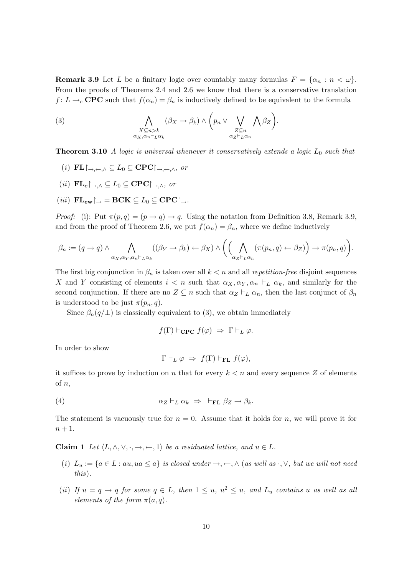**Remark 3.9** Let L be a finitary logic over countably many formulas  $F = \{\alpha_n : n < \omega\}.$ From the proofs of Theorems 2.4 and 2.6 we know that there is a conservative translation  $f: L \to_c \textbf{CPC}$  such that  $f(\alpha_n) = \beta_n$  is inductively defined to be equivalent to the formula

(3) 
$$
\bigwedge_{\substack{X \subseteq n > k \\ \alpha_X, \alpha_n \vdash_L \alpha_k}} (\beta_X \to \beta_k) \land \left(p_n \lor \bigvee_{\substack{Z \subseteq n \\ \alpha_Z \vdash_L \alpha_n}} \bigwedge \beta_Z\right).
$$

**Theorem 3.10** A logic is universal whenever it conservatively extends a logic  $L_0$  such that

- (i)  $\mathbf{FL}$  $\uparrow_{\rightarrow,\leftarrow,\wedge} \subseteq L_0 \subseteq \mathbf{CPC}$  $\uparrow_{\rightarrow,\leftarrow,\wedge}$ , or
- (ii)  $\mathbf{FL}_{\mathbf{e}}|_{\rightarrow \wedge} \subseteq L_0 \subseteq \mathbf{CPC}|_{\rightarrow \wedge}$ , or
- (iii)  $FL_{ew} \rightharpoonup = BCK \subseteq L_0 \subseteq \text{CPC} \rightharpoonup$ .

*Proof:* (i): Put  $\pi(p,q) = (p \rightarrow q) \rightarrow q$ . Using the notation from Definition 3.8, Remark 3.9, and from the proof of Theorem 2.6, we put  $f(\alpha_n) = \beta_n$ , where we define inductively

$$
\beta_n := (q \to q) \land \bigwedge_{\alpha_X, \alpha_Y, \alpha_n \vdash_L \alpha_k} ((\beta_Y \to \beta_k) \leftarrow \beta_X) \land \left( \left( \bigwedge_{\alpha_Z \vdash_L \alpha_n} (\pi(p_n, q) \leftarrow \beta_Z) \right) \to \pi(p_n, q) \right).
$$

The first big conjunction in  $\beta_n$  is taken over all  $k < n$  and all repetition-free disjoint sequences X and Y consisting of elements  $i < n$  such that  $\alpha_X, \alpha_Y, \alpha_n \vdash_L \alpha_k$ , and similarly for the second conjunction. If there are no  $Z \subseteq n$  such that  $\alpha_Z \vdash_L \alpha_n$ , then the last conjunct of  $\beta_n$ is understood to be just  $\pi(p_n, q)$ .

Since  $\beta_n(q/\perp)$  is classically equivalent to (3), we obtain immediately

$$
f(\Gamma) \vdash_{\mathbf{CPC}} f(\varphi) \Rightarrow \Gamma \vdash_L \varphi.
$$

In order to show

$$
\Gamma \vdash_L \varphi \;\Rightarrow\; f(\Gamma) \vdash_{\mathbf{FL}} f(\varphi),
$$

it suffices to prove by induction on n that for every  $k < n$  and every sequence Z of elements of  $n$ ,

(4) 
$$
\alpha_Z \vdash_L \alpha_k \Rightarrow \vdash_{\mathbf{FL}} \beta_Z \to \beta_k.
$$

The statement is vacuously true for  $n = 0$ . Assume that it holds for n, we will prove it for  $n+1$ .

Claim 1 Let  $\langle L, \wedge, \vee, \cdot, \to, \leftarrow, 1 \rangle$  be a residuated lattice, and  $u \in L$ .

- (i)  $L_u := \{a \in L : au, ua \leq a\}$  is closed under  $\rightarrow, \leftarrow, \wedge$  (as well as  $\cdot, \vee$ , but we will not need this).
- (ii) If  $u = q \rightarrow q$  for some  $q \in L$ , then  $1 \leq u, u^2 \leq u$ , and  $L_u$  contains u as well as all elements of the form  $\pi(a,q)$ .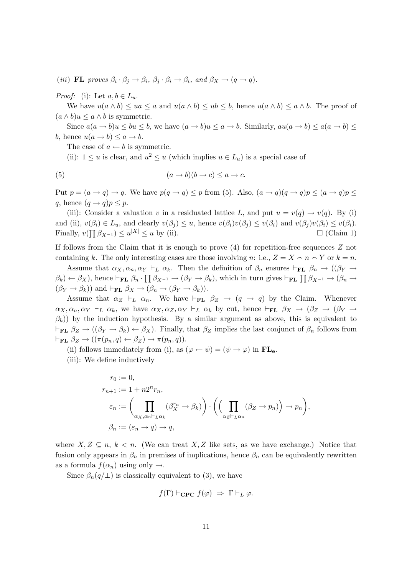(iii) **FL** proves  $\beta_i \cdot \beta_j \rightarrow \beta_i$ ,  $\beta_j \cdot \beta_i \rightarrow \beta_i$ , and  $\beta_X \rightarrow (q \rightarrow q)$ .

*Proof:* (i): Let  $a, b \in L_u$ .

We have  $u(a \wedge b) \leq ua \leq a$  and  $u(a \wedge b) \leq ub \leq b$ , hence  $u(a \wedge b) \leq a \wedge b$ . The proof of  $(a \wedge b)u \leq a \wedge b$  is symmetric.

Since  $a(a \to b)u \le bu \le b$ , we have  $(a \to b)u \le a \to b$ . Similarly,  $au(a \to b) \le a(a \to b) \le$ b, hence  $u(a \to b) \leq a \to b$ .

The case of  $a \leftarrow b$  is symmetric.

(ii):  $1 \le u$  is clear, and  $u^2 \le u$  (which implies  $u \in L_u$ ) is a special case of

(5) 
$$
(a \to b)(b \to c) \le a \to c.
$$

Put  $p = (a \rightarrow q) \rightarrow q$ . We have  $p(q \rightarrow q) \leq p$  from (5). Also,  $(a \rightarrow q)(q \rightarrow q)p \leq (a \rightarrow q)p$ . q, hence  $(q \rightarrow q)p \leq p$ .

(iii): Consider a valuation v in a residuated lattice L, and put  $u = v(q) \rightarrow v(q)$ . By (i) and (ii),  $v(\beta_i) \in L_u$ , and clearly  $v(\beta_i) \leq u$ , hence  $v(\beta_i)v(\beta_i) \leq v(\beta_i)$  and  $v(\beta_i)v(\beta_i) \leq v(\beta_i)$ . Finally,  $v(\prod \beta_{X^{-1}}) \le u^{|X|} \le u$  by (ii).  $\Box$  (Claim 1)

If follows from the Claim that it is enough to prove (4) for repetition-free sequences Z not containing k. The only interesting cases are those involving n: i.e.,  $Z = X \cap n \cap Y$  or  $k = n$ .

Assume that  $\alpha_X, \alpha_n, \alpha_Y \vdash_L \alpha_k$ . Then the definition of  $\beta_n$  ensures  $\vdash_{\text{FL}} \beta_n \rightarrow ((\beta_Y \rightarrow$  $(\beta_k) \leftarrow \beta_X$ , hence  $\vdash_{\mathbf{FL}} \beta_n \cdot \prod \beta_{X^{-1}} \rightarrow (\beta_Y \rightarrow \beta_k)$ , which in turn gives  $\vdash_{\mathbf{FL}} \prod \beta_{X^{-1}} \rightarrow (\beta_n \rightarrow \beta_k)$  $(\beta_Y \to \beta_k)$  and  $\vdash_{\mathbf{FL}} \beta_X \to (\beta_n \to (\beta_Y \to \beta_k)).$ 

Assume that  $\alpha_Z \vdash_L \alpha_n$ . We have  $\vdash_{\mathbf{FL}} \beta_Z \rightarrow (q \rightarrow q)$  by the Claim. Whenever  $\alpha_X, \alpha_n, \alpha_Y \vdash_L \alpha_k$ , we have  $\alpha_X, \alpha_Z, \alpha_Y \vdash_L \alpha_k$  by cut, hence  $\vdash_{\mathbf{FL}} \beta_X \rightarrow (\beta_Z \rightarrow (\beta_Y \rightarrow$  $(\beta_k)$ ) by the induction hypothesis. By a similar argument as above, this is equivalent to  $\vdash_{\mathbf{FL}} \beta_Z \to ((\beta_Y \to \beta_k) \leftarrow \beta_X)$ . Finally, that  $\beta_Z$  implies the last conjunct of  $\beta_n$  follows from  $\vdash_{\mathbf{FL}} \beta_Z \rightarrow ((\pi(p_n, q) \leftarrow \beta_Z) \rightarrow \pi(p_n, q)).$ 

(ii) follows immediately from (i), as  $(\varphi \leftarrow \psi) = (\psi \rightarrow \varphi)$  in  $FL_{\mathbf{e}}$ .

(iii): We define inductively

$$
r_0 := 0,
$$
  
\n
$$
r_{n+1} := 1 + n2^n r_n,
$$
  
\n
$$
\varepsilon_n := \left(\prod_{\alpha_X, \alpha_n \vdash_L \alpha_k} (\beta_X^{r_n} \to \beta_k)\right) \cdot \left(\left(\prod_{\alpha_Z \vdash_L \alpha_n} (\beta_Z \to p_n)\right) \to p_n\right),
$$
  
\n
$$
\beta_n := (\varepsilon_n \to q) \to q,
$$

where  $X, Z \subseteq n, k < n$ . (We can treat X, Z like sets, as we have exchange.) Notice that fusion only appears in  $\beta_n$  in premises of implications, hence  $\beta_n$  can be equivalently rewritten as a formula  $f(\alpha_n)$  using only  $\rightarrow$ .

Since  $\beta_n(q/\perp)$  is classically equivalent to (3), we have

$$
f(\Gamma) \vdash_{\mathbf{CPC}} f(\varphi) \Rightarrow \Gamma \vdash_L \varphi.
$$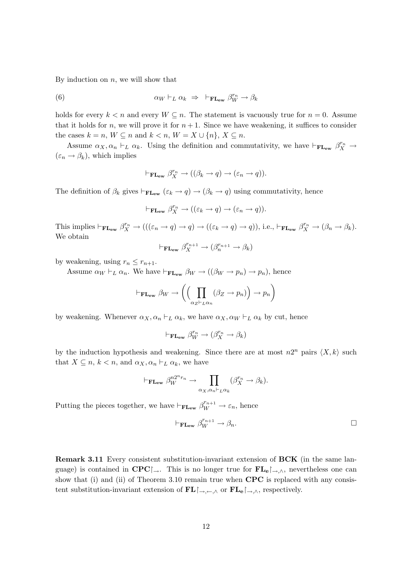By induction on  $n$ , we will show that

(6) 
$$
\alpha_W \vdash_L \alpha_k \Rightarrow \vdash_{\mathbf{FL}_{ew}} \beta_W^{r_n} \to \beta_k
$$

holds for every  $k < n$  and every  $W \subseteq n$ . The statement is vacuously true for  $n = 0$ . Assume that it holds for n, we will prove it for  $n + 1$ . Since we have weakening, it suffices to consider the cases  $k = n$ ,  $W \subseteq n$  and  $k < n$ ,  $W = X \cup \{n\}$ ,  $X \subseteq n$ .

Assume  $\alpha_X, \alpha_n \vdash_L \alpha_k$ . Using the definition and commutativity, we have  $\vdash_{\mathbf{FLew}} \beta_X^{r_n} \rightarrow$  $(\varepsilon_n \to \beta_k)$ , which implies

$$
\vdash_{\mathbf{FL}_{ew}} \beta_X^{r_n} \to ((\beta_k \to q) \to (\varepsilon_n \to q)).
$$

The definition of  $\beta_k$  gives  $\vdash_{\mathbf{FL}_{ew}} (\varepsilon_k \to q) \to (\beta_k \to q)$  using commutativity, hence

$$
\vdash_{\mathbf{FL_{ew}}}\beta_X^{r_n} \to ((\varepsilon_k \to q) \to (\varepsilon_n \to q)).
$$

This implies  $\vdash_{\mathbf{FL}_{ew}} \beta_X^{r_n} \to (((\varepsilon_n \to q) \to q) \to ((\varepsilon_k \to q) \to q)), \text{ i.e., } \vdash_{\mathbf{FL}_{ew}} \beta_X^{r_n} \to (\beta_n \to \beta_k).$ We obtain

$$
\vdash_{\mathbf{FLew}} \beta_X^{r_{n+1}} \to (\beta_n^{r_{n+1}} \to \beta_k)
$$

by weakening, using  $r_n \leq r_{n+1}$ .

Assume  $\alpha_W \vdash_L \alpha_n$ . We have  $\vdash_{\mathbf{FLew}} \beta_W \to ((\beta_W \to p_n) \to p_n)$ , hence

$$
\vdash_{\mathbf{FL}_{ew}} \beta_W \to \left( \left( \prod_{\alpha_Z \vdash_L \alpha_n} (\beta_Z \to p_n) \right) \to p_n \right)
$$

by weakening. Whenever  $\alpha_X, \alpha_n \vdash_L \alpha_k$ , we have  $\alpha_X, \alpha_W \vdash_L \alpha_k$  by cut, hence

$$
\vdash_{\mathbf{FL_{ew}}} \beta_W^{r_n} \to (\beta_X^{r_n} \to \beta_k)
$$

by the induction hypothesis and weakening. Since there are at most  $n2^n$  pairs  $\langle X, k \rangle$  such that  $X \subseteq n, k < n$ , and  $\alpha_X, \alpha_n \vdash_L \alpha_k$ , we have

$$
\vdash_{\mathbf{FL}_{ew}} \beta_W^{n2^n r_n} \to \prod_{\alpha_X, \alpha_n \vdash_L \alpha_k} (\beta_X^{r_n} \to \beta_k).
$$

Putting the pieces together, we have  $\vdash_{\mathbf{FLew}} \beta_W^{r_{n+1}} \to \varepsilon_n$ , hence

$$
\vdash_{\mathbf{FLew}} \beta_W^{r_{n+1}} \to \beta_n.
$$

Remark 3.11 Every consistent substitution-invariant extension of BCK (in the same language) is contained in  $\text{CPC}\rightarrow$ . This is no longer true for  $\text{FL}_{\text{e}}\rightarrow\Lambda$ , nevertheless one can show that (i) and (ii) of Theorem 3.10 remain true when  $CPC$  is replaced with any consistent substitution-invariant extension of  $\mathbf{FL}\n$  $\rightarrow$ ,  $\sim$ ,  $\land$  or  $\mathbf{FL}\n$  $\rightarrow$ , respectively.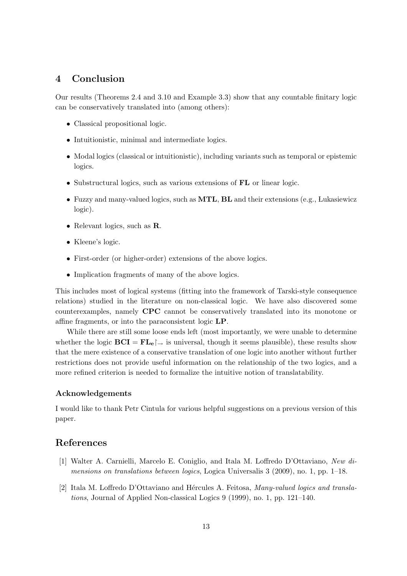## 4 Conclusion

Our results (Theorems 2.4 and 3.10 and Example 3.3) show that any countable finitary logic can be conservatively translated into (among others):

- Classical propositional logic.
- Intuitionistic, minimal and intermediate logics.
- Modal logics (classical or intuitionistic), including variants such as temporal or epistemic logics.
- Substructural logics, such as various extensions of **FL** or linear logic.
- Fuzzy and many-valued logics, such as **MTL**, **BL** and their extensions (e.g., Lukasiewicz logic).
- Relevant logics, such as **R**.
- Kleene's logic.
- First-order (or higher-order) extensions of the above logics.
- Implication fragments of many of the above logics.

This includes most of logical systems (fitting into the framework of Tarski-style consequence relations) studied in the literature on non-classical logic. We have also discovered some counterexamples, namely CPC cannot be conservatively translated into its monotone or affine fragments, or into the paraconsistent logic LP.

While there are still some loose ends left (most importantly, we were unable to determine whether the logic  $BCI = FL<sub>e</sub>$  is universal, though it seems plausible), these results show that the mere existence of a conservative translation of one logic into another without further restrictions does not provide useful information on the relationship of the two logics, and a more refined criterion is needed to formalize the intuitive notion of translatability.

#### Acknowledgements

I would like to thank Petr Cintula for various helpful suggestions on a previous version of this paper.

#### References

- [1] Walter A. Carnielli, Marcelo E. Coniglio, and Itala M. Loffredo D'Ottaviano, New dimensions on translations between logics, Logica Universalis 3 (2009), no. 1, pp. 1–18.
- [2] Itala M. Loffredo D'Ottaviano and Hércules A. Feitosa, Many-valued logics and translations, Journal of Applied Non-classical Logics 9 (1999), no. 1, pp. 121–140.